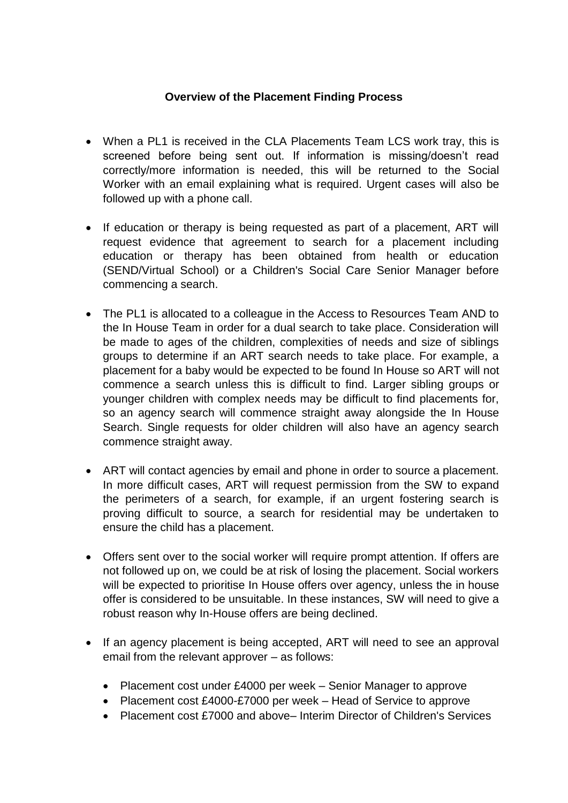## **Overview of the Placement Finding Process**

- When a PL1 is received in the CLA Placements Team LCS work tray, this is screened before being sent out. If information is missing/doesn't read correctly/more information is needed, this will be returned to the Social Worker with an email explaining what is required. Urgent cases will also be followed up with a phone call.
- If education or therapy is being requested as part of a placement, ART will request evidence that agreement to search for a placement including education or therapy has been obtained from health or education (SEND/Virtual School) or a Children's Social Care Senior Manager before commencing a search.
- The PL1 is allocated to a colleague in the Access to Resources Team AND to the In House Team in order for a dual search to take place. Consideration will be made to ages of the children, complexities of needs and size of siblings groups to determine if an ART search needs to take place. For example, a placement for a baby would be expected to be found In House so ART will not commence a search unless this is difficult to find. Larger sibling groups or younger children with complex needs may be difficult to find placements for, so an agency search will commence straight away alongside the In House Search. Single requests for older children will also have an agency search commence straight away.
- ART will contact agencies by email and phone in order to source a placement. In more difficult cases, ART will request permission from the SW to expand the perimeters of a search, for example, if an urgent fostering search is proving difficult to source, a search for residential may be undertaken to ensure the child has a placement.
- Offers sent over to the social worker will require prompt attention. If offers are not followed up on, we could be at risk of losing the placement. Social workers will be expected to prioritise In House offers over agency, unless the in house offer is considered to be unsuitable. In these instances, SW will need to give a robust reason why In-House offers are being declined.
- If an agency placement is being accepted, ART will need to see an approval email from the relevant approver – as follows:
	- Placement cost under £4000 per week Senior Manager to approve
	- Placement cost £4000-£7000 per week Head of Service to approve
	- Placement cost £7000 and above– Interim Director of Children's Services